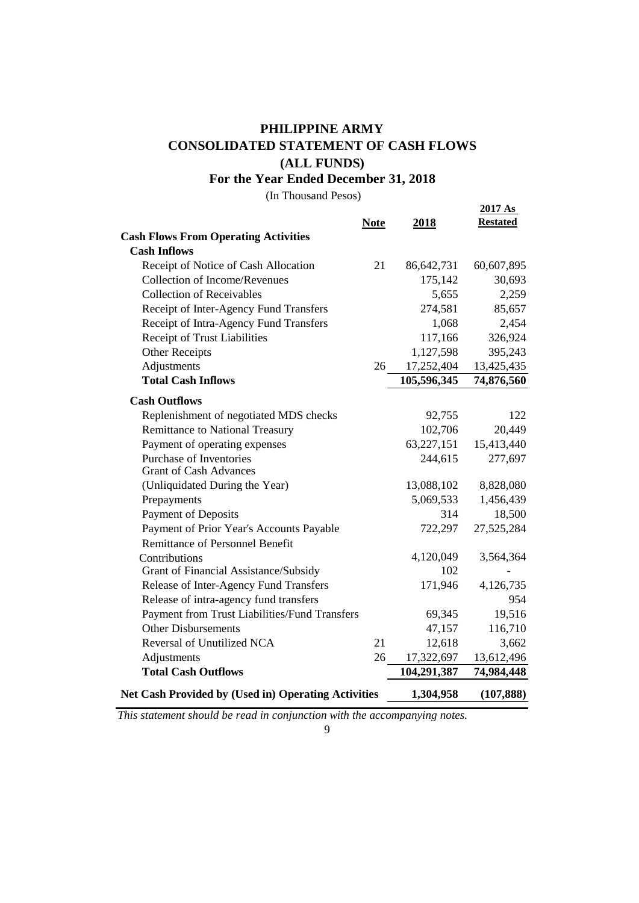## **PHILIPPINE ARMY CONSOLIDATED STATEMENT OF CASH FLOWS (ALL FUNDS)**

**For the Year Ended December 31, 2018**

(In Thousand Pesos)

|                                                            | <b>Note</b> | 2018        | 2017As<br><b>Restated</b> |
|------------------------------------------------------------|-------------|-------------|---------------------------|
| <b>Cash Flows From Operating Activities</b>                |             |             |                           |
| <b>Cash Inflows</b>                                        |             |             |                           |
| Receipt of Notice of Cash Allocation                       | 21          | 86,642,731  | 60,607,895                |
| <b>Collection of Income/Revenues</b>                       |             | 175,142     | 30,693                    |
| <b>Collection of Receivables</b>                           |             | 5,655       | 2,259                     |
| Receipt of Inter-Agency Fund Transfers                     |             | 274,581     | 85,657                    |
| Receipt of Intra-Agency Fund Transfers                     |             | 1,068       | 2,454                     |
| Receipt of Trust Liabilities                               |             | 117,166     | 326,924                   |
| <b>Other Receipts</b>                                      |             | 1,127,598   | 395,243                   |
| Adjustments                                                | 26          | 17,252,404  | 13,425,435                |
| <b>Total Cash Inflows</b>                                  |             | 105,596,345 | 74,876,560                |
| <b>Cash Outflows</b>                                       |             |             |                           |
| Replenishment of negotiated MDS checks                     |             | 92,755      | 122                       |
| <b>Remittance to National Treasury</b>                     |             | 102,706     | 20,449                    |
| Payment of operating expenses                              |             | 63,227,151  | 15,413,440                |
| Purchase of Inventories                                    |             | 244,615     | 277,697                   |
| <b>Grant of Cash Advances</b>                              |             |             |                           |
| (Unliquidated During the Year)                             |             | 13,088,102  | 8,828,080                 |
| Prepayments                                                |             | 5,069,533   | 1,456,439                 |
| <b>Payment of Deposits</b>                                 |             | 314         | 18,500                    |
| Payment of Prior Year's Accounts Payable                   |             | 722,297     | 27,525,284                |
| <b>Remittance of Personnel Benefit</b>                     |             |             |                           |
| Contributions                                              |             | 4,120,049   | 3,564,364                 |
| Grant of Financial Assistance/Subsidy                      |             | 102         |                           |
| Release of Inter-Agency Fund Transfers                     |             | 171,946     | 4,126,735                 |
| Release of intra-agency fund transfers                     |             |             | 954                       |
| Payment from Trust Liabilities/Fund Transfers              |             | 69,345      | 19,516                    |
| <b>Other Disbursements</b>                                 |             | 47,157      | 116,710                   |
| Reversal of Unutilized NCA                                 | 21          | 12,618      | 3,662                     |
| Adjustments                                                | 26          | 17,322,697  | 13,612,496                |
| <b>Total Cash Outflows</b>                                 |             | 104,291,387 | 74,984,448                |
| <b>Net Cash Provided by (Used in) Operating Activities</b> |             | 1,304,958   | (107, 888)                |

*This statement should be read in conjunction with the accompanying notes.*